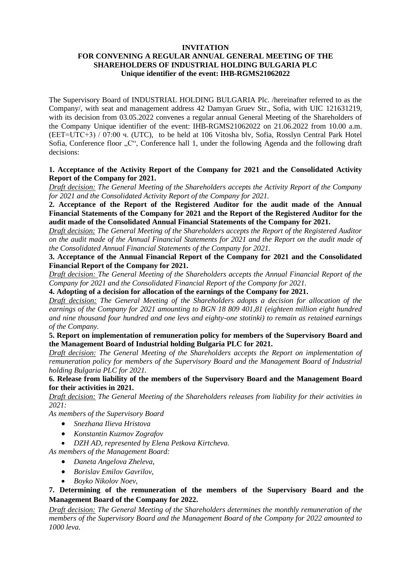### **INVITATION**

# **FOR CONVENING A REGULAR ANNUAL GENERAL MEETING OF THE SHAREHOLDERS OF INDUSTRIAL HOLDING BULGARIA PLC Unique identifier of the event: IHB-RGMS21062022**

The Supervisory Board of INDUSTRIAL HOLDING BULGARIA Plc. /hereinafter referred to as the Company/, with seat and management address 42 Damyan Gruev Str., Sofia, with UIC 121631219, with its decision from 03.05.2022 convenes a regular annual General Meeting of the Shareholders of the Company Unique identifier of the event: IHB-RGMS21062022 on 21.06.2022 from 10.00 a.m. (EET=UTC+3) / 07:00 ч. (UTC), to be held at 106 Vitosha blv, Sofia, Rosslyn Central Park Hotel Sofia, Conference floor "C", Conference hall 1, under the following Agenda and the following draft decisions:

## **1. Acceptance of the Activity Report of the Company for 2021 and the Consolidated Activity Report of the Company for 2021.**

*Draft decision: The General Meeting of the Shareholders accepts the Activity Report of the Company for 2021 and the Consolidated Activity Report of the Company for 2021.*

**2. Acceptance of the Report of the Registered Auditor for the audit made of the Annual Financial Statements of the Company for 2021 and the Report of the Registered Auditor for the audit made of the Consolidated Annual Financial Statements of the Company for 2021.**

*Draft decision: The General Meeting of the Shareholders accepts the Report of the Registered Auditor on the audit made of the Annual Financial Statements for 2021 and the Report on the audit made of the Consolidated Annual Financial Statements of the Company for 2021.*

**3. Acceptance of the Annual Financial Report of the Company for 2021 and the Consolidated Financial Report of the Company for 2021.**

*Draft decision: The General Meeting of the Shareholders accepts the Annual Financial Report of the Company for 2021 and the Consolidated Financial Report of the Company for 2021.*

**4. Adopting of a decision for allocation of the earnings of the Company for 2021.**

*Draft decision: The General Meeting of the Shareholders adopts a decision for allocation of the earnings of the Company for 2021 amounting to BGN 18 809 401,81 (eighteen million eight hundred and nine thousand four hundred and one levs and eighty-one stotinki) to remain as retained earnings of the Company.*

## **5. Report on implementation of remuneration policy for members of the Supervisory Board and the Management Board of Industrial holding Bulgaria PLC for 2021.**

*Draft decision: The General Meeting of the Shareholders accepts the Report on implementation of remuneration policy for members of the Supervisory Board and the Management Board of Industrial holding Bulgaria PLC for 2021.*

**6. Release from liability of the members of the Supervisory Board and the Management Board for their activities in 2021.** 

*Draft decision: The General Meeting of the Shareholders releases from liability for their activities in 2021:*

*As members of the Supervisory Board*

- *Snezhana Ilieva Hristova*
- *Konstantin Kuzmov Zografov*
- *DZH AD, represented by Elena Petkova Kirtcheva.*

*As members of the Management Board:*

- *Daneta Angelova Zheleva,*
- *Borislav Emilov Gavrilov,*
- *Boyko Nikolov Noev,*

## **7. Determining of the remuneration of the members of the Supervisory Board and the Management Board of the Company for 2022.**

*Draft decision: The General Meeting of the Shareholders determines the monthly remuneration of the members of the Supervisory Board and the Management Board of the Company for 2022 amounted to 1000 leva.*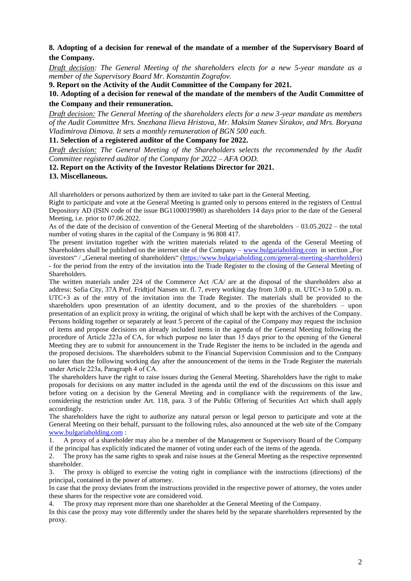# **8. Adopting of a decision for renewal of the mandate of a member of the Supervisory Board of the Company.**

*Draft decision: The General Meeting of the shareholders elects for a new 5-year mandate as a member of the Supervisory Board Mr. Konstantin Zografov.*

**9. Report on the Activity of the Audit Committee of the Company for 2021.**

**10. Adopting of a decision for renewal of the mandate of the members of the Audit Committee of the Company and their remuneration.** 

*Draft decision: The General Meeting of the shareholders elects for a new 3-year mandate as members of the Audit Committee Mrs. Snezhana Ilieva Hristova, Mr. Maksim Stanev Sirakov, and Mrs. Boryana Vladimirova Dimova. It sets a monthly remuneration of BGN 500 each.*

## **11. Selection of a registered auditor of the Company for 2022.**

*Draft decision: The General Meeting of the Shareholders selects the recommended by the Audit Committee registered auditor of the Company for 2022 – AFA OOD.*

## **12. Report on the Activity of the Investor Relations Director for 2021.**

#### **13. Miscellaneous.**

All shareholders or persons authorized by them are invited to take part in the General Meeting.

Right to participate and vote at the General Meeting is granted only to persons entered in the registers of Central Depository AD (ISIN code of the issue BG1100019980) as shareholders 14 days prior to the date of the General Meeting, i.e. prior to 07.06.2022.

As of the date of the decision of convention of the General Meeting of the shareholders – 03.05.2022 – the total number of voting shares in the capital of the Company is 96 808 417.

The present invitation together with the written materials related to the agenda of the General Meeting of Shareholders shall be published on the internet site of the Company – [www.bulgariaholding.com](http://www.bulgariaholding.com/) in section "For investors" / "General meeting of shareholders" [\(https://www.bulgariaholding.com/general-meeting-shareholders\)](https://www.bulgariaholding.com/general-meeting-shareholders) - for the period from the entry of the invitation into the Trade Register to the closing of the General Meeting of Shareholders.

The written materials under 224 of the Commerce Act /CA/ are at the disposal of the shareholders also at address: Sofia City, 37A Prof. Fridtjof Nansen str. fl. 7, every working day from 3.00 p. m. UTC+3 to 5.00 p. m. UTC+3 as of the entry of the invitation into the Trade Register. The materials shall be provided to the shareholders upon presentation of an identity document, and to the proxies of the shareholders – upon presentation of an explicit proxy in writing, the original of which shall be kept with the archives of the Company. Persons holding together or separately at least 5 percent of the capital of the Company may request the inclusion of items and propose decisions on already included items in the agenda of the General Meeting following the procedure of Article 223а of CA, for which purpose no later than 15 days prior to the opening of the General Meeting they are to submit for announcement in the Trade Register the items to be included in the agenda and the proposed decisions. The shareholders submit to the Financial Supervision Commission and to the Company no later than the following working day after the announcement of the items in the Trade Register the materials under Article 223а, Paragraph 4 of CA.

The shareholders have the right to raise issues during the General Meeting. Shareholders have the right to make proposals for decisions on any matter included in the agenda until the end of the discussions on this issue and before voting on a decision by the General Meeting and in compliance with the requirements of the law, considering the restriction under Art. 118, para. 3 of the Public Offering of Securities Act which shall apply accordingly.

The shareholders have the right to authorize any natural person or legal person to participate and vote at the General Meeting on their behalf, pursuant to the following rules, also announced at the web site of the Company [www.bulgariaholding.com](http://www.bulgariaholding.com/) :

1. A proxy of a shareholder may also be a member of the Management or Supervisory Board of the Company if the principal has explicitly indicated the manner of voting under each of the items of the agenda.

2. The proxy has the same rights to speak and raise issues at the General Meeting as the respective represented shareholder.

3. The proxy is obliged to exercise the voting right in compliance with the instructions (directions) of the principal, contained in the power of attorney.

In case that the proxy deviates from the instructions provided in the respective power of attorney, the votes under these shares for the respective vote are considered void.

4. The proxy may represent more than one shareholder at the General Meeting of the Company.

In this case the proxy may vote differently under the shares held by the separate shareholders represented by the proxy.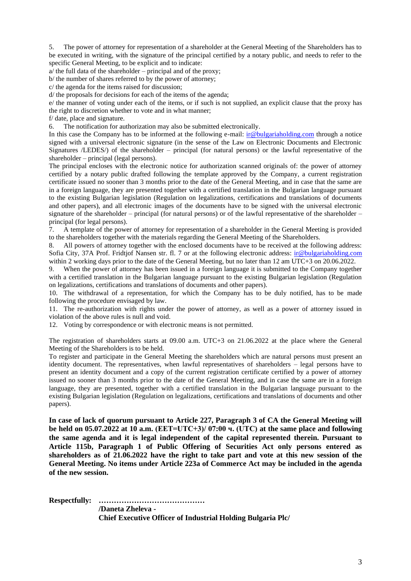5. The power of attorney for representation of a shareholder at the General Meeting of the Shareholders has to be executed in writing, with the signature of the principal certified by a notary public, and needs to refer to the specific General Meeting, to be explicit and to indicate:

a/ the full data of the shareholder – principal and of the proxy;

b/ the number of shares referred to by the power of attorney;

c/ the agenda for the items raised for discussion;

d/ the proposals for decisions for each of the items of the agenda;

e/ the manner of voting under each of the items, or if such is not supplied, an explicit clause that the proxy has the right to discretion whether to vote and in what manner;

f/ date, place and signature.

6. The notification for authorization may also be submitted electronically.

In this case the Company has to be informed at the following e-mail: [ir@bulgariaholding.com](mailto:ir@bulgariaholding.com) through a notice signed with a universal electronic signature (in the sense of the Law on Electronic Documents and Electronic Signatures /LEDES/) of the shareholder – principal (for natural persons) or the lawful representative of the shareholder – principal (legal persons).

The principal encloses with the electronic notice for authorization scanned originals of: the power of attorney certified by a notary public drafted following the template approved by the Company, a current registration certificate issued no sooner than 3 months prior to the date of the General Meeting, and in case that the same are in a foreign language, they are presented together with a certified translation in the Bulgarian language pursuant to the existing Bulgarian legislation (Regulation on legalizations, certifications and translations of documents and other papers), and all electronic images of the documents have to be signed with the universal electronic signature of the shareholder – principal (for natural persons) or of the lawful representative of the shareholder – principal (for legal persons).

7. A template of the power of attorney for representation of a shareholder in the General Meeting is provided to the shareholders together with the materials regarding the General Meeting of the Shareholders.

8. All powers of attorney together with the enclosed documents have to be received at the following address: Sofia City, 37A Prof. Fridtjof Nansen str. fl. 7 or at the following electronic address: [ir@bulgariaholding.com](mailto:ir@bulgariaholding.com) within 2 working days prior to the date of the General Meeting, but no later than 12 am UTC+3 on 20.06.2022.

When the power of attorney has been issued in a foreign language it is submitted to the Company together with a certified translation in the Bulgarian language pursuant to the existing Bulgarian legislation (Regulation on legalizations, certifications and translations of documents and other papers).

10. The withdrawal of a representation, for which the Company has to be duly notified, has to be made following the procedure envisaged by law.

11. The re-authorization with rights under the power of attorney, as well as a power of attorney issued in violation of the above rules is null and void.

12. Voting by correspondence or with electronic means is not permitted.

The registration of shareholders starts at 09.00 a.m. UTC+3 on 21.06.2022 at the place where the General Meeting of the Shareholders is to be held.

To register and participate in the General Meeting the shareholders which are natural persons must present an identity document. The representatives, when lawful representatives of shareholders – legal persons have to present an identity document and a copy of the current registration certificate certified by a power of attorney issued no sooner than 3 months prior to the date of the General Meeting, and in case the same are in a foreign language, they are presented, together with a certified translation in the Bulgarian language pursuant to the existing Bulgarian legislation (Regulation on legalizations, certifications and translations of documents and other papers).

**In case of lack of quorum pursuant to Article 227, Paragraph 3 of CA the General Meeting will be held on 05.07.2022 at 10 a.m. (EET=UTC+3)/ 07:00 ч. (UTC) at the same place and following the same agenda and it is legal independent of the capital represented therein. Pursuant to Article 115b, Paragraph 1 of Public Offering of Securities Act only persons entered as shareholders as of 21.06.2022 have the right to take part and vote at this new session of the General Meeting. No items under Article 223a of Commerce Act may be included in the agenda of the new session.**

**Respectfully: ……………………………………**

**/Daneta Zheleva - Chief Executive Officer of Industrial Holding Bulgaria Plc/**